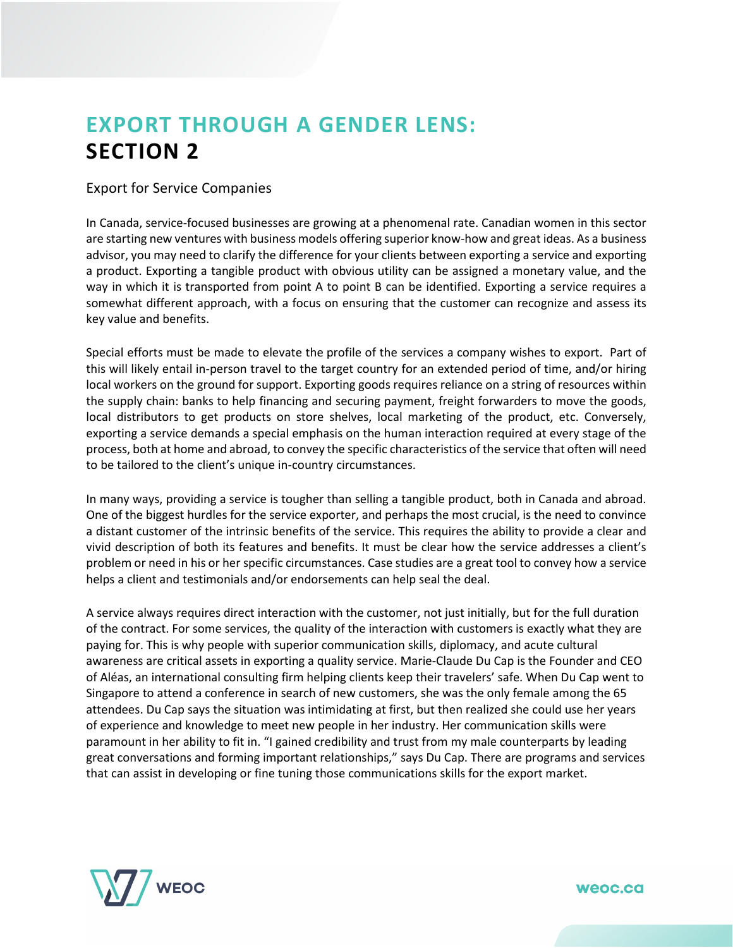# **EXPORT THROUGH A GENDER LENS: SECTION 2**

# Export for Service Companies

In Canada, service-focused businesses are growing at a phenomenal rate. Canadian women in this sector are starting new ventures with business models offering superior know-how and great ideas. As a business advisor, you may need to clarify the difference for your clients between exporting a service and exporting a product. Exporting a tangible product with obvious utility can be assigned a monetary value, and the way in which it is transported from point A to point B can be identified. Exporting a service requires a somewhat different approach, with a focus on ensuring that the customer can recognize and assess its key value and benefits.

Special efforts must be made to elevate the profile of the services a company wishes to export. Part of this will likely entail in-person travel to the target country for an extended period of time, and/or hiring local workers on the ground for support. Exporting goods requires reliance on a string of resources within the supply chain: banks to help financing and securing payment, freight forwarders to move the goods, local distributors to get products on store shelves, local marketing of the product, etc. Conversely, exporting a service demands a special emphasis on the human interaction required at every stage of the process, both at home and abroad, to convey the specific characteristics of the service that often will need to be tailored to the client's unique in-country circumstances.

In many ways, providing a service is tougher than selling a tangible product, both in Canada and abroad. One of the biggest hurdles for the service exporter, and perhaps the most crucial, is the need to convince a distant customer of the intrinsic benefits of the service. This requires the ability to provide a clear and vivid description of both its features and benefits. It must be clear how the service addresses a client's problem or need in his or her specific circumstances. Case studies are a great tool to convey how a service helps a client and testimonials and/or endorsements can help seal the deal.

A service always requires direct interaction with the customer, not just initially, but for the full duration of the contract. For some services, the quality of the interaction with customers is exactly what they are paying for. This is why people with superior communication skills, diplomacy, and acute cultural awareness are critical assets in exporting a quality service. Marie-Claude Du Cap is the Founder and CEO of Aléas, an international consulting firm helping clients keep their travelers' safe. When Du Cap went to Singapore to attend a conference in search of new customers, she was the only female among the 65 attendees. Du Cap says the situation was intimidating at first, but then realized she could use her years of experience and knowledge to meet new people in her industry. Her communication skills were paramount in her ability to fit in. "I gained credibility and trust from my male counterparts by leading great conversations and forming important relationships," says Du Cap. There are programs and services that can assist in developing or fine tuning those communications skills for the export market.

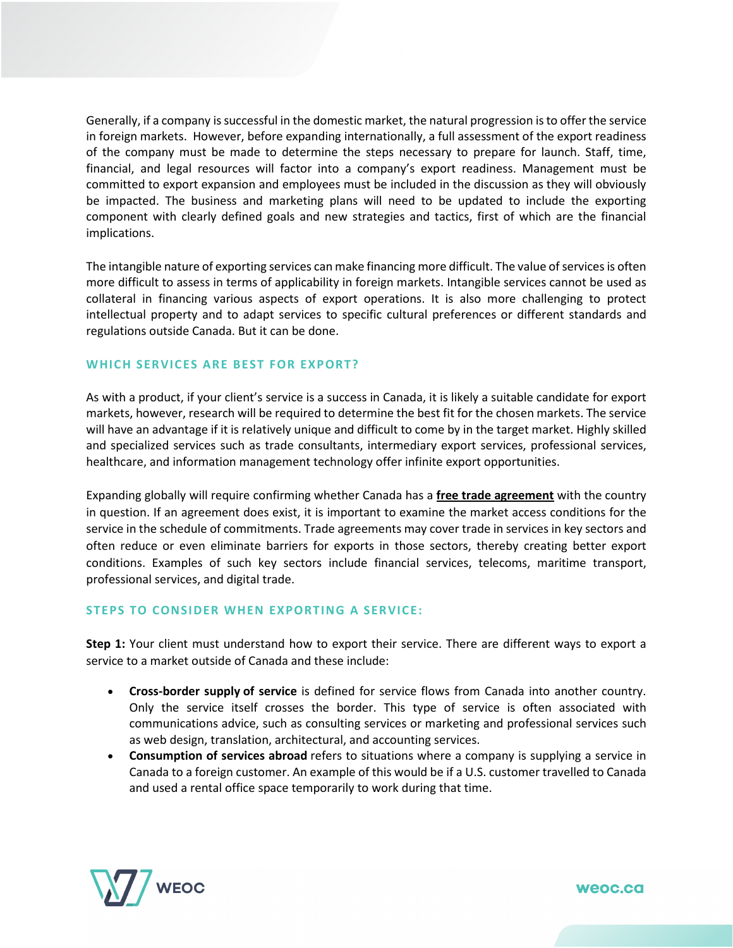Generally, if a company is successful in the domestic market, the natural progression is to offer the service in foreign markets. However, before expanding internationally, a full assessment of the export readiness of the company must be made to determine the steps necessary to prepare for launch. Staff, time, financial, and legal resources will factor into a company's export readiness. Management must be committed to export expansion and employees must be included in the discussion as they will obviously be impacted. The business and marketing plans will need to be updated to include the exporting component with clearly defined goals and new strategies and tactics, first of which are the financial implications.

The intangible nature of exporting services can make financing more difficult. The value of services is often more difficult to assess in terms of applicability in foreign markets. Intangible services cannot be used as collateral in financing various aspects of export operations. It is also more challenging to protect intellectual property and to adapt services to specific cultural preferences or different standards and regulations outside Canada. But it can be done.

## **WHICH SERVICES ARE BEST FOR EXPORT?**

As with a product, if your client's service is a success in Canada, it is likely a suitable candidate for export markets, however, research will be required to determine the best fit for the chosen markets. The service will have an advantage if it is relatively unique and difficult to come by in the target market. Highly skilled and specialized services such as trade consultants, intermediary export services, professional services, healthcare, and information management technology offer infinite export opportunities.

Expanding globally will require confirming whether Canada has a **[free trade agreement](https://youtu.be/TD0sDTtqrBg)** with the country in question. If an agreement does exist, it is important to examine the market access conditions for the service in the schedule of commitments. Trade agreements may cover trade in services in key sectors and often reduce or even eliminate barriers for exports in those sectors, thereby creating better export conditions. Examples of such key sectors include financial services, telecoms, maritime transport, professional services, and digital trade.

### **STEPS TO CONSIDER WHEN EXPORTING A SERVICE:**

**Step 1:** Your client must understand how to export their service. There are different ways to export a service to a market outside of Canada and these include:

- **Cross-border supply of service** is defined for service flows from Canada into another country. Only the service itself crosses the border. This type of service is often associated with communications advice, such as consulting services or marketing and professional services such as web design, translation, architectural, and accounting services.
- **Consumption of services abroad** refers to situations where a company is supplying a service in Canada to a foreign customer. An example of this would be if a U.S. customer travelled to Canada and used a rental office space temporarily to work during that time.

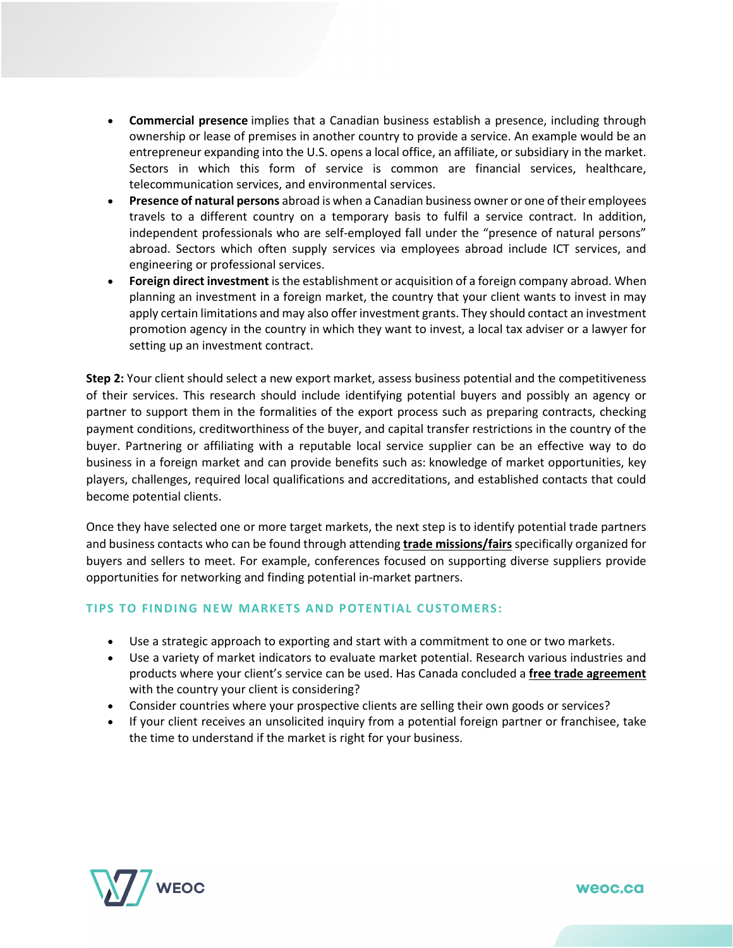- **Commercial presence** implies that a Canadian business establish a presence, including through ownership or lease of premises in another country to provide a service. An example would be an entrepreneur expanding into the U.S. opens a local office, an affiliate, or subsidiary in the market. Sectors in which this form of service is common are financial services, healthcare, telecommunication services, and environmental services.
- **Presence of natural persons** abroad is when a Canadian business owner or one of their employees travels to a different country on a temporary basis to fulfil a service contract. In addition, independent professionals who are self-employed fall under the "presence of natural persons" abroad. Sectors which often supply services via employees abroad include ICT services, and engineering or professional services.
- **Foreign direct investment** is the establishment or acquisition of a foreign company abroad. When planning an investment in a foreign market, the country that your client wants to invest in may apply certain limitations and may also offer investment grants. They should contact an investment promotion agency in the country in which they want to invest, a local tax adviser or a lawyer for setting up an investment contract.

**Step 2:** Your client should select a new export market, assess business potential and the competitiveness of their services. This research should include identifying potential buyers and possibly an agency or partner to support them in the formalities of the export process such as preparing contracts, checking payment conditions, creditworthiness of the buyer, and capital transfer restrictions in the country of the buyer. Partnering or affiliating with a reputable local service supplier can be an effective way to do business in a foreign market and can provide benefits such as: knowledge of market opportunities, key players, challenges, required local qualifications and accreditations, and established contacts that could become potential clients.

Once they have selected one or more target markets, the next step is to identify potential trade partners and business contacts who can be found through attending **[trade missions/fairs](https://youtu.be/U75nKZpzESs)**specifically organized for buyers and sellers to meet. For example, conferences focused on supporting diverse suppliers provide opportunities for networking and finding potential in-market partners.

### **TIPS TO FINDING NEW MARKETS AND POTENTIAL CUSTOMERS:**

- Use a strategic approach to exporting and start with a commitment to one or two markets.
- Use a variety of market indicators to evaluate market potential. Research various industries and products where your client's service can be used. Has Canada concluded a **[free trade agreement](https://youtu.be/TD0sDTtqrBg)** with the country your client is considering?
- Consider countries where your prospective clients are selling their own goods or services?
- If your client receives an unsolicited inquiry from a potential foreign partner or franchisee, take the time to understand if the market is right for your business.